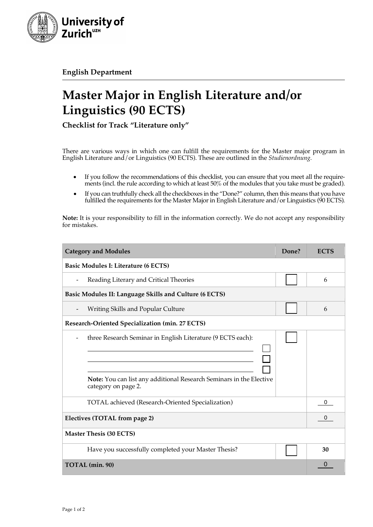

**English Department**

## **Master Major in English Literature and/or Linguistics (90 ECTS)**

**Checklist for Track "Literature only"**

There are various ways in which one can fulfill the requirements for the Master major program in English Literature and/or Linguistics (90 ECTS). These are outlined in the *Studienordnung.*

- If you follow the recommendations of this checklist, you can ensure that you meet all the requirements (incl. the rule according to which at least 50% of the modules that you take must be graded).
- If you can truthfully check all the checkboxes in the "Done?" column, then this means that you have fulfilled the requirements for the Master Major in English Literature and / or Linguistics (90 ECTS).

**Note:** It is your responsibility to fill in the information correctly. We do not accept any responsibility for mistakes.

| <b>Category and Modules</b>                                                                                                                               | Done? | <b>ECTS</b> |
|-----------------------------------------------------------------------------------------------------------------------------------------------------------|-------|-------------|
| <b>Basic Modules I: Literature (6 ECTS)</b>                                                                                                               |       |             |
| Reading Literary and Critical Theories                                                                                                                    |       | 6           |
| Basic Modules II: Language Skills and Culture (6 ECTS)                                                                                                    |       |             |
| Writing Skills and Popular Culture                                                                                                                        |       | 6           |
| Research-Oriented Specialization (min. 27 ECTS)                                                                                                           |       |             |
| three Research Seminar in English Literature (9 ECTS each):<br>Note: You can list any additional Research Seminars in the Elective<br>category on page 2. |       |             |
| TOTAL achieved (Research-Oriented Specialization)                                                                                                         |       | 0           |
| Electives (TOTAL from page 2)                                                                                                                             |       | 0           |
| <b>Master Thesis (30 ECTS)</b>                                                                                                                            |       |             |
| Have you successfully completed your Master Thesis?                                                                                                       |       | 30          |
| TOTAL (min. 90)                                                                                                                                           |       | 0           |